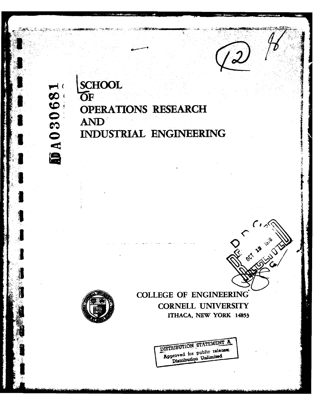**SCHOOL**<br>OF DA030681 **OPERATIONS RESEARCH** AND INDUSTRIAL ENGINEERING





**COLLEGE OF ENGINEERING CORNELL UNIVERSITY** ITHACA, NEW YORK 14853

> DISTRIBUTION STATEMENT A Approved for public release; Distribution Unlimited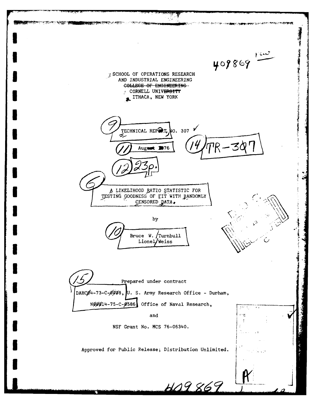**START & CANA** 409869 **7 SCHOOL OF OPERATIONS RESEARCH** AND INDUSTRIAL ENGINEERING COLLEGE OF ENGINEERING. CORNELL UNIVERSITY ITHACA, NEW YORK TECHNICAL REPAT. NO. 307 Z, スタ August 1976 A LIKELIHOOD RATIO STATISTIC FOR TESTING GOODNESS OF FIT WITH RANDOMLY CENSORED DATA. by Bruce W. Turnbull Lionel/Weiss Prepared under contract DAHCO4-73-C-OOO8, U. S. Army Research Office - Durham, Nggg14-75-C-0586 Office of Naval Research, and ern.  $\ddot{\cdot}$ NSF Grant No. MCS 76-06340. Approved for Public Release; Distribution Unlimited. 409869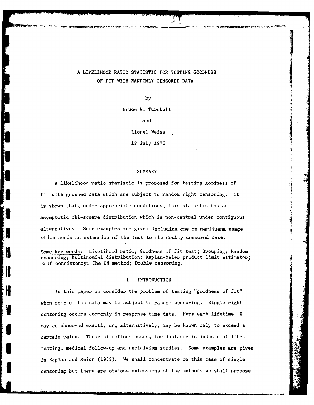# A LIKELIHOOD RATIO STATISTIC FOR TESTING GOODNESS OF FIT WITH RANDOMLY **CENSORED DATA**

 $\frac{1}{2}$ 

by

Bruce W. Turnbull

and

Lionel Weiss

12 July 1976

### **SUMMARY**

A likelihood ratio statistic is proposed for testing goodness of fit with grouped data which are subject to random right censoring. It is shown that, under appropriate conditions, this statistic has an asymptotic chi-square distribution which is non-central under contiguous alternatives. Some examples are given including one on marijuana usage which needs an extension of the test to the doubly censored case.

Some key words: Likelihood ratio; Goodness of fit test; Grouping; Random censoring; Multinomial distribution; Kaplan-Meier product limit estimator; Self-consistency; The EM method; Double censoring.

### **1.** INTRODUCTION

In this paper we consider the problem of testing "goodness of fit" when some of the data may be subject to random censoring. Single right censoring occurs commonly in response time data. Here each lifetime X may be observed exactly or, alternatively, may be known only to exceed a certain value. These situations occur, for instance in industrial lifetesting, medical follow-up and recidivism studies. Some examples are given in Kaplan and Meier (1958). We shall concentrate on this case of single censoring but there are obvious extensions of the methods we shall propose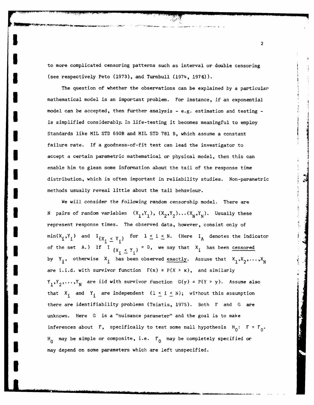to more complicated censoring patterns such as interval or double censoring (see respectively Peto (1973), and Turnbull (1974, 1976)).

The question of whether the observations can be explained by a particular mathematical model is an important problem. For instance, if an exponential model can be accepted, then further analysis - e.g. estimation and testing is simplified considerably. In life-testing it becomes meaningful to employ Standards like MIL STD 690B and MIL STD 781 B, which assume a constant failure rate. If a goodness-of-fit test can lead the investigator to **3** accept a certain parametric mathematical or physical model, then this can enable him to glean some information about the tail of the response time distribution, which is often important in reliability studies. Non-parametric <sup>4</sup> **3** methods usually reveal little about the tail behaviour.

We will consider the following random censorship model. There are **N** pairs of random variables  $(X_1, Y_1)$ ,  $(X_2, Y_2) \ldots (X_N, Y_N)$ . Usually these represent response times. The observed data, however, consist only of  $\min(X_i,Y_i)$  and  $\mathbf{1}_{\{X_i\_\leq Y_i\}}$  for  $1\leq i\leq N$ . (Here  $\mathbf{1}_A$  denotes the indicator of the set A.) If  $I_{\{X_i \leq Y_i\}} = 0$ , we say that  $X_i$  has been censored by Y<sub>i</sub>, otherwise X<sub>i</sub> has been observed exactly. Assume that  $X_1, X_2, \ldots, X_N$ are i.i.d. with survivor function  $F(x) = P(X > x)$ , and similarly  $Y_1, Y_2, \ldots, Y_N$  are iid with survivor function  $G(y) = P(Y > y)$ . Assume also that **X<sub>i</sub>** and **Y<sub>i</sub>** are independent  $(1 \le i \le N)$ ; without this assumption **3** there are identifiability problems (Tsiatis, 1975). Both F and **G** are unknown. Here **G** is a "nuisance parameter" and the goal is to make **inferences about F, specifically to test some null hypothesis**  $H_0: F = F_0$ **.** H<sub>0</sub> may be simple or composite, i.e.  $F_{0}$  may be completely specified or may depend on some parameters which are left unspecified.

**I**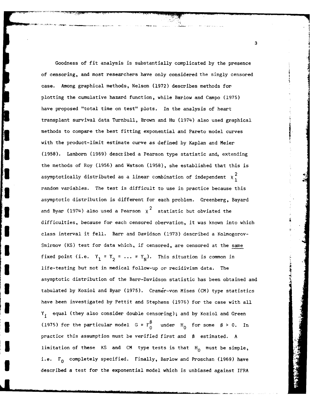Goodness of fit analysis is substantially complicated by the presence of censoring, and most researchers have only considered the singly censored case. Among graphical methods, Nelson (1972) describes methods for plotting the cumulative hazard function, while Barlow and Campo (1975) have proposed "total time on test" plots. In the analysis of heart transplant survival data Turnbull, Brown and Hu (1974) also used graphical methods to compare the best fitting exponential and Pareto model curves with the product-limit estimate curve as defined by Kaplan and Meier (1958). Lamborn (1969) described a Pearson type statistic and, extending the methods of Roy (1956) and Watson (1958), she established that this is asymptotically distributed as a linear combination of independent  $\chi^2$ , **3** random variables. The test is difficult to use in practice because this asymptotic distribution is different for each problem. Greenberg, Bayard and Byar (1974) also used a Pearson  $x^2$  statistic but obviated the difficulties, because for each censored obervation, it was known into which class interval it fell. Barr and Davidson (1973) described a Kolmogorov-Smirnov (KS) test for data which, if censored, are censored at the same fixed point (i.e.  $Y_1 = Y_2 = \ldots = Y_N$ ). This situation is common in life-testing but not in medical follow-up or recidivism data. The asymptotic distribution of the Barr-Davidson statistic has been obtained and tabulated by Koziol and Byar (1975). Cramer-von Mises (CM) type statistics have been investigated by Pettit and Stephens (1976) for the case with all Y. equal (they also consider double censoring); and by Koziol and Green **<sup>1</sup>** (1975) for the particular model  $G = F_0^{\beta}$  under  $H_0$  for some  $\beta > 0$ . In practice this assumption must be verified first and **8** estimated. A limitation of these KS and CM type tests is that  $H_0$  must be simple, i.e.  $F_0$  completely specified. Finally, Barlow and Proschan (1969) have described a test for the exponential model which is unbiased against IFRA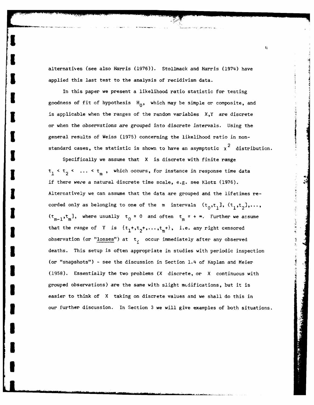alternatives (see also Harris (1976)). Stollmack and Harris (1974) have applied this last test to the analysis of recidivism data.

In this paper we present a likelihood ratio statistic for testing goodness of fit of hypothesis  $H_0$ , which may be simple or composite, and is applicable when the ranges of the random variables  $X, Y$  are discrete or when the observations are grouped into discrete intervals. Using the general results of Weiss (1975) concerning the likelihood ratio in nonstandard cases, the statistic is shown to have an asymptotic  $\chi^2$  distribution.

Specifically we assume that X is discrete with finite range  $t_1 < t_2 < ... < t_m$ , which occurs, for instance in response time data if there wepe a natural discrete time scale, e.g. see Klotz (1976). Alternatively we can assume that the data are grouped and the lifetimes recorded only as belonging to one of the m intervals  $(t_0,t_1], (t_1,t_2],\ldots$ ,  $\left(\tau_{m-1}, \tau_m\right]$ , where usually  $\tau_0 = 0$  and often  $\tau_m = +\infty$ . Further we assume that the range of Y is  $\{t_1^+, t_2^+, \ldots, t_m^+\}$ , i.e. any right censored observation (or "losses") at  $t_i$  occur immediately after any observed **3** deaths. This setup is often appropriate in studies with periodic inspection (or "snapshots") - see the discussion in Section 1.4 of Kaplan and Meier **U** (1958). Essentially the two problems (X discrete, or X continuous with grouped observations) are the same with slight mcdifications, but it is easier to think of X taking on discrete values and we shall do this in **3** our further discussion. In Section **3** we will give examples of both situations.

**U**

**I**

**U**

 $\mathbf{h}$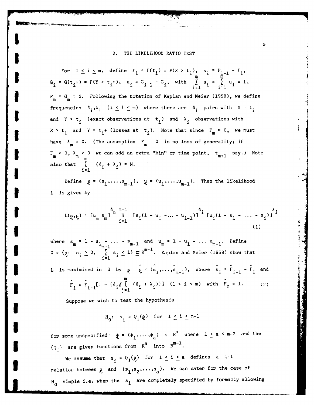### 2. THE LIKELIHOOD RATIO TEST

**I** *-*

For  $1 \le i \le m$ , define  $F_i = F(t_i) = P(X > t_i)$ ,  $s_i = F_{i-1} - F_i$ ,  $G_i = G(t_i+) = P(Y > t_i+)$ ,  $u_i = G_{i-1} - G_i$ , with  $\sum_{i=1}^{m} s_i = \sum_{i=1}^{m} u_i = 1$ ,  $F_m = G_m = 0$ . Following the notation of Kaplan and Meier (1958), we define frequencies  $\delta_i, \lambda_j$  ( $1 \leq i \leq m$ ) where there are  $\delta_j$  pairs with  $X = t_j$ and Y >  $t_i$  (exact observations at  $t_i$ ) and  $\lambda_i$  observations with  $X > t$ . and  $Y = t$ <sup>1</sup> (losses at  $t$ <sup>1</sup>). Note that since  $F_m = 0$ , we must have  $\lambda_m = 0$ . (The assumption  $F_m = 0$  is no loss of generality; if  $F_m > 0$ ,  $\lambda_m > 0$  we can add an extra "bin" or time point,  $t_{m+1}$  say.) Note also that  $\sum_{i=1}^{m} (\delta_i + \lambda_i) = N$ .

> Define  $g = (s_1, \ldots, s_{m-1}), \quad g = (u_1, \ldots, u_{m-1}).$  Then the likelihood L is given by

$$
L(g,y) = [u_m s_m]^{\delta_m - 1} \t[s_i(1 - u_i - ... - u_{i-1})]^{\delta_i} [u_i(1 - s_1 - ... - s_i)]^{\lambda_i}
$$
\n(1)

where  $s_m = 1 - s_{1 - \ldots -1}$  and  $u_m = 1 - u_1 - \ldots u_{m-1}$ . Define L is maximised in  $\Omega$  by  $g = \hat{g} = (\hat{s}_1, \dots, \hat{s}_{m-1}),$  where  $\hat{s}_i = \hat{F}_{i-1} - \hat{F}_i$  and m  $\mathbf{F}_1 = \mathbf{F}_{i-1} [1 - \{\delta_i / \sum_i (\delta_i + \lambda_i)\}]$   $(1 \leq i \leq m)$  with  $\mathbf{F}_0 = 1.$  (2)

Suppose we wish to test the hypothesis

$$
H_0: s_i = Q_i(\xi) \text{ for } 1 \le i \le m-1
$$

for some unspecified  $\phi = (\phi_1, \ldots, \phi_a)$   $\epsilon$   $R^a$  where  $1 \le a \le m-2$  and the  ${Q_i}$  are given functions from  $R^a$  into  $R^{m-1}$ .

We assume that  $s_i = Q_i(\phi)$  for  $1 \leq i \leq a$  defines a 1-1 relation between  $\phi$  and  $(s_1, s_2, \ldots, s_n)$ . We can cater for the case of **H0** simple i.e. wher the si are completely specified **by** formally allowing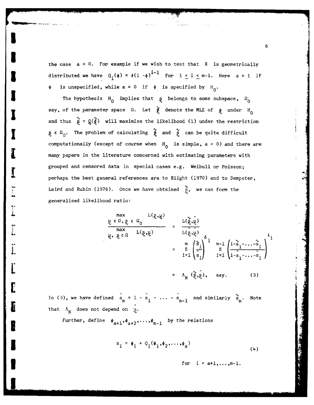the case a = **0.** For example if we wish to test that X is geometrically distributed we have  $Q_i(\phi) = \phi(1 - \phi)^{i-1}$  for  $1 \leq i \leq m-1$ . Here  $a = 1$  if is unspecified, while  $a = 0$  if  $\phi$  is specified by  $H_0$ .

The hypothesis H<sub>0</sub> implies that  $\beta$  belongs to some subspace,  $\beta$ <sub>0</sub> say, of the parameter space  $\Omega$ . Let  $\oint_C$  denote the MLE of  $\oint_C$  under  $H_0$ and thus  $\hat{g} = g(\hat{\phi})$  will maximise the likelihood (1) under the restriction  $\S$   $\epsilon$   $\Omega$ <sub>0</sub>. The problem of calculating  $\gamma$  and  $\gamma$  can be quite difficult computationally (except of course when  $H_0$  is simple,  $a = 0$ ) and there are many papers in the literature concerned with estimating parameters with grouped and censored data in special cases e.g. Weibull or Poisson; perhaps the best general references are to Blight (1970) and to Dempster, Laird and Rubin (1976). Once we have obtained  $\frac{0}{5}$ , we can form the generalised likelihood ratio:

I

÷.

 $\frac{1}{2}$ 

 $\begin{bmatrix} 1 \\ 2 \\ 3 \\ 4 \end{bmatrix}$ 

Ľ

E

E

$$
\frac{\mu \epsilon \Omega, \xi \epsilon \Omega_{0}}{\max_{\substack{m \to \infty \\ \max \epsilon \Omega}} L(\xi, \xi) = \frac{L(\xi, \xi)}{L(\xi, \xi)}
$$
\n
$$
= \frac{\mu(\xi, \xi)}{\mu(\xi, \xi)} \delta_{\text{if}}
$$
\n
$$
= \frac{\mu(\xi, \xi)}{\min\left(\frac{\xi}{\xi}, \xi\right)} \delta_{\text{if}}
$$
\n
$$
= \frac{\mu(\xi, \xi)}{\min\left(\frac{\xi}{\xi}, \xi\right)} \delta_{\text{if}}
$$
\n
$$
= \Lambda_{\text{N}}(\xi, \xi), \text{ say.} \tag{3}
$$

In (3), we have defined  $\hat{s}_n = 1 - \hat{s}_1 - \ldots - \hat{s}_m$ , and similarly  $\hat{s}_n$ . Not that  $\Lambda_N$  does not depend on  $\mu$ .

Further, define  $\phi_{a+1}, \phi_{a+2}, \ldots, \phi_{m-1}$  by the relations

$$
s_i = \phi_i + Q_i(\phi_1, \phi_2, \dots, \phi_a)
$$
 (4)

for  $i = a+1, ..., m-1$ .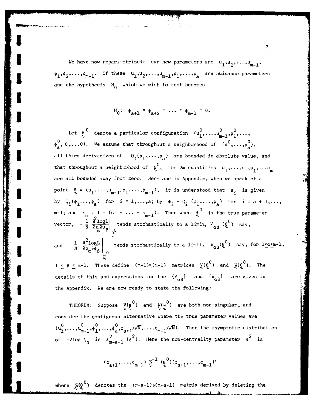We have now reparametrized: our new parameters are  $u_1, u_2, \ldots, u_{m-1}$  $\phi_1^{},\phi_2^{},\ldots,\phi_{\mathsf{m}-1}^{},$  Of these  $\mathsf{u}_1^{},\mathsf{u}_2^{},\ldots,\mathsf{u}_{\mathsf{m}-1}^{},\phi_1^{},\ldots,\phi_{\mathsf{m}-1}^{}$  are nuisance parameters and the hypothesis  $H_0$  which we wish to test becomes

$$
H_0
$$
:  $\phi_{a+1} = \phi_{a+2} = \dots = \phi_{m-1} = 0$ .

Let  $\begin{matrix} 0 & 0 & 0 \\ 0 & 0 & \text{denote a particular configuration} \end{matrix} \begin{matrix} 0 & 0 & 0 \\ u_1, \dots, u_{m-1}, \phi_1, \dots, \phi_m \end{matrix}$ **,** 0,...0). We assume that throughout a neighborhood of **(00,** .... **0),**  $\zeta$ , 0,...0). We assume that throughout a neighborhood of  $(\phi_1^{\vee},\ldots,\phi_{\zeta}^{\vee})$ all third derivatives of  $Q_1(\phi_1,\ldots,\phi_n)$  are bounded in absolute value, and h **0** that throughout a neighborhood of  $\theta$ , the 2m quantities  $u_1,\ldots,u_m,s_1,\ldots,s_m$ are all bounded away from zero. Here and in Appendix, when we speak of a point  $\theta_i = (u_1, \ldots, u_{m-1}, \phi_1, \ldots, \phi_{m-1}),$  it is understood that  $s_i$  is given by **Q (01** ) for i 1,...,a; by \*. **<sup>+</sup>**Q . ' ) for i **=** a + 1,..., **.** a a. **o**   $m-1$ ; and  $s_{m} = 1 - (s + \ldots + s_{m-1})$ . Then when  $\theta_{\omega}^{0}$  is the true parameter vector,  $-\frac{1}{N}\left[\frac{\partial^2 logL}{\partial u \partial u_{\beta}}\right]_{0}$  tends stochastically to a limit,  $V_{\alpha\beta}(\theta_0^0)$  say,

tends stochastically to a limit,  $W_{\alpha\beta}(\rho^0)$  say, for lost 1. and  $-\frac{1}{N} \left. \frac{\partial^2 \text{log}L}{\partial \phi_\alpha \partial \phi_\beta} \right|_{0}$ 

 $1 \leq \beta \leq m-1$ . These define  $(m-1)\times(m-1)$  matrices  $\chi(\rho^0)$  and  $\chi(\rho^0)$ . The details of this and expressions for the  ${V_{\alpha\beta}}$  and  ${W_{\alpha\beta}}$  are given in the Appendix. We are now ready to state the following:

THEOREM: Suppose  $V(\rho^0)$  and  $W(\rho^0)$  are both non-singular, and consider the contiguous alternative where the true parameter values are  $(\mathrm{u}_1^0,\ldots,\mathrm{u}_{m-1}^0,\phi_1^0,\ldots,\phi_a^0,\mathrm{c}_{a+1}/\sqrt{N},\ldots,\mathrm{c}_{m-1}/\sqrt{N}).$  Then the asymptotic distribution of -2log  $\Lambda_N$  is  $X_{m-a-1}^2$  ( $\delta^2$ ). Here the non-centrality parameter  $\delta^2$  is

$$
(c_{a+1},...,c_{m-1}) \underset{\sim}{z}^{-1} (Q_0^0)(c_{a+1},...,c_{m-1})'
$$

where  $Z(Q^0)$  denotes the  $(m-a-1)x(m-a-1)$  matrix derived by deleting the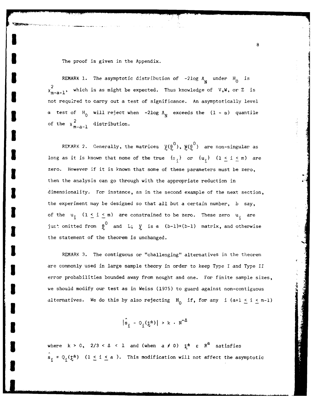The proof is given in the Appendix.

REMARK 1. The asymptotic distribution of  $-2\log \Lambda_{\rm N}$  under  $H_0$  is  $\chi^2_{m-a-1}$ , which is as might be expected. Thus knowledge of V,W, or Z is not required to carry out a test of significance. An asymptotically level  $\alpha$  test of H<sub>0</sub> will reject when -2log  $\Lambda_{\rm N}$  exceeds the  $(1 - \alpha)$  quantile  $\ddot{\phantom{0}}$ of the  $\chi_{m-2}^2$  distribution.

REMARK 2. Generally, the matrices  $\chi(\rho^0)$ ,  $\chi(\rho^0)$  are non-singular as long as it is known that none of the true  $\{s_i\}$  or  $\{u_i\}$   $(1 \leq i \leq m)$  are zero. However if it is known that some of these parameters must be zero, then the analysis can go through with the appropriate reduction in dimensionality. For instance, as in the second example of the next section, the experiment may be designed so that all but a certain number, b say, of the  $u_i$   $(1 \leq i \leq m)$  are constrained to be zero. These zero  $u_i$  are just omitted from  $\theta$ <sup>0</sup> and L;  $\chi$  is a (b-l)×(b-l) matrix, and otherwise the statement of the theorem is unchanged.

REMARK 3. The contiguous or "challenging" alternatives in the theorem are commonly used in large sample theory in order to keep Type I and Type II error probabilities bounded away from nought and one. For finite sample sizes, we should modify our test as in Weiss (1975) to guard against non-contiguous **A** alternatives. We do this by also rejecting  $H_0$  if, for any i (a+l  $\leq$  i  $\leq$  m-l)

$$
|\hat{s}_i - o_i(\xi^*)| > k \cdot N^{-\Delta}
$$

where  $k > 0$ ,  $2/3 < \Delta < 1$  and (when  $a \neq 0$ )  $\overline{k}^* \in \mathbb{R}^d$  satisfies  $\hat{\mathbf{s}}_i = \mathbf{Q}_i(\mathbf{t}^*)$  (1  $\leq$  i  $\leq$  a ). This modification will not affect the asymptotic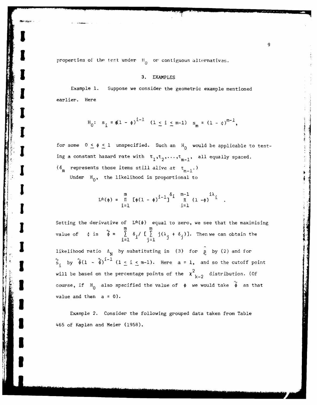**I E I** properties of the test under  $H_0$  or contiguous alternatives. **0**

# **13. EXAMPLES**

Example **1.** Suppose we consider the geometric example mentioned earlier. Here

$$
H_0
$$
:  $s_i = \phi(1 - \phi)^{i-1}$   $(1 \le i \le m-1)$   $s_m = (1 - \phi)^{m-1}$ ,

for some  $0 \le \phi \le 1$  unspecified. Such an H<sub>0</sub> would be applicable to testing a constant hazard rate with  $t_1, t_2, \ldots, t_{m-1}$ , all equally spaced.

( $\delta_{\text{m}}$  represents those items still alive at  $t_{m-1}$ .) Under H<sub>0</sub>, the likelihood is proportional to

$$
L^{x}(\phi) = \prod_{i=1}^{m} \left[\phi(1-\phi)^{i-1}\right]^{\delta_i} \prod_{i=1}^{m-1} \frac{i\lambda}{(1-\phi)^{i}}
$$

Setting the derivative of  $L^*(\phi)$  equal to zero, we see that the maximising **m m** value of  $\phi$  is  $\phi = \sum_{i=1}^{n} \delta_i / [\sum_{i=1}^{n} j(\lambda_i + \delta_j)]$ . Then we can obtain the likelihood ratio  $\Lambda_N$  by substituting in (3) for  $\hat{\xi}$  by (2) and for  $\int_{s_i}^{\infty}$  by  $\hat{\phi}(1 - \hat{\phi})^{i-1}$   $(1 \leq i \leq m-1)$ . Here  $a = 1$ , and so the cutoff point will be based on the percentage points of the  $\chi^2$ , distribution. (Of **k-2** course, if  $H_0$  also specified the value of  $\phi$  we would take  $\phi$  as that value and then  $a = 0$ ).

Example 2. Consider the following grouped data taken from Table **3** 465 of Kaplan and Meier (1958).

**\*1**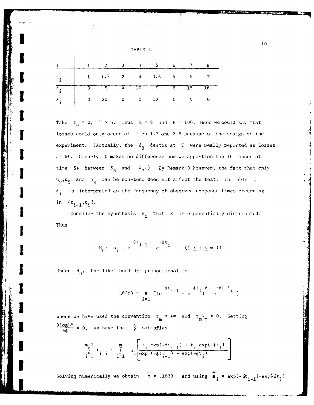| TABLE |  |  |
|-------|--|--|
|       |  |  |

**!10**

|  | $1 \quad 2 \quad 3 \quad 4 \quad 5$                                     |  |  |  |
|--|-------------------------------------------------------------------------|--|--|--|
|  | $t_i$   1 1.7 2 3 3.6 4 5 T                                             |  |  |  |
|  | $3 \t 5 \t 4 \t 10 \t 9 \t 6 \t 15 \t 16$                               |  |  |  |
|  | $\lambda$ , $\begin{pmatrix} 0 & 20 & 0 & 0 & 12 & 0 & 0 \end{pmatrix}$ |  |  |  |

Take  $t_0 = 0$ ,  $T > 5$ . Thus  $m = 8$  and  $N = 100$ . Here we could say that losses could only occur at times 1.7 and 3.6 because of the design of the experiment. (Actually, the  $\delta_{8}$  deaths at T were really reported as losses **I** at **5+.** Clearly it makes no difference how we apportion the **16** losses at time 5+ between  $\delta_{\mathbf{g}}$  and  $\lambda_{\mathbf{g}}$ .) By Remark 3 however, the fact that only **u**<sub>2</sub>, **u**<sub>5</sub> and **u**<sub>8</sub> can be non-zero does not affect the test. In Table 1, **S6.** is interpreted as the frequency of observed response times occurring in  $(t_{i-1}, t_i)$ .

Consider the hypothesis  $H_0$  that X is exponentially distributed. Thus

$$
H_0
$$
:  $s_i = e^{-\theta t} i - 1 - e^{-\theta t} i$   $(1 \le i \le m-1).$ 

$$
L^{*}(\phi) = \prod_{i=1}^{m} \left[ (e^{-\phi t}i^{-1} - e^{-\phi t}i)^{\delta_i} e^{-\phi t}i^{\lambda_i} \right]
$$

where we have used the convention  $t = +\infty$  and  $t = \lambda_m = 0$ . Setting **mmomL\***  $\frac{\partial \text{log} \mathcal{L}^*}{\partial \phi} = 0$ , we have that  $\phi$  satisfies

$$
\sum_{i=1}^{m-1} \lambda_i t_i = \sum_{i=1}^{m} \delta_i \left[ \frac{-t_i \exp(-\phi t_{i-1}) + t_i \exp(-\phi t_i)}{\exp(-\phi t_{i-1}) - \exp(-\phi t_i)} \right]
$$

Solving numerically we obtain  $\phi = .1638$  and using  $\phi_i = \exp(-\phi t_{i-1}) - \exp(-\phi t_i)$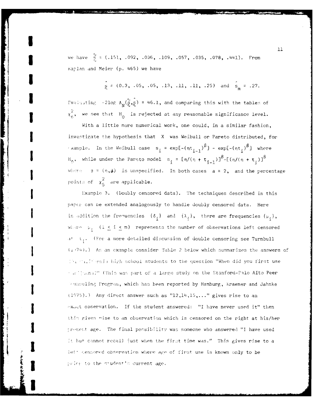we have  $\frac{\infty}{\infty}$  = (.151, .092, .036, .109, .057, .035, .078, .441). From Kapian and Meier (p. 465) we have

**I I**

$$
\hat{\mathbf{s}} = (0.3, .05, .05, .13, .11, .11, .25) \text{ and } \hat{\mathbf{s}}_{m} = .27.
$$

Fvaluating -21og  $\Lambda_N(\hat{\xi},\hat{\xi})$  = 46.1, and comparing this with the tables of  $\chi^2_{6}$ , we see that  $H_0$  is rejected at any reasonable significance level.

With a little more numerical work, one could, in a similar fashion, investigate the hypothesis that X was Weibull or Pareto distributed, for  $\alpha$  **xample.** In the Weibull case  $s_i = \exp[-(\pi t_{i-1})^{\beta}] - \exp[-(\pi t_i)^{\beta}]$  where  $H_0$ , while under the Pareto model  $s_i = \ln/(\eta + t_{i-1})^{\beta} - \left[\frac{(\eta/(\eta + t_i))^{\beta}}{\beta}\right]$ where  $\phi = (\eta, \beta)$  is unspecified. In both cases  $a = 2$ , and the percentage points of  $\chi_5^2$  are applicable.

Example 3. (Doubly censored data). The techniques described in this paper can be extended analogously to handle doubly censored data. Here in addition the frequencies  $\{\delta_i\}$  and  $\{\lambda_i\}$ , there are frequencies  $\{\mu_i\}$ , where  $\mu_i$  ( $1 \leq i \leq m$ ) represents the number of observations left censored **it t..** (Por a more detailed discussion of double censoring see Turnbull **S** 7+4. *)* **As** an example consider Table 2 below which summarizes the answers of I'm that formin high school students to the question "When did you first use " in 2] (ana?" (This was part of a large study on the Stanford-Palo Alto Peer ulin, Prcgrari, which has been reported by Hamburg, Kraemer and Jahnke  $(1975).$  ) Any direct answer such as  $"12,14,15,..."$  gives rise to an  $\alpha$ xact observation. If the student answered: "I have never used it" then this gives nise to an observation which is censored on the right at his/her present age. The final possibility was someone who answered "I have used It but cannot recall just when the first time was." This gives rise to a left sensored observation where age of first use is known only to be price to the student's current age.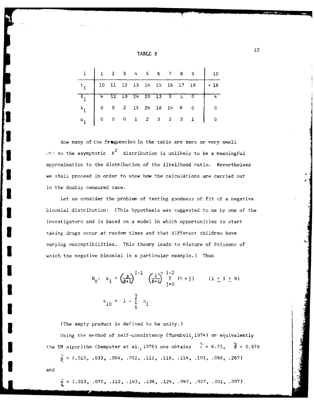| TABLE |  |
|-------|--|
|-------|--|

|  |  |  | $1$ 2 3 4 5 6 7 8                                                            |  |  |
|--|--|--|------------------------------------------------------------------------------|--|--|
|  |  |  | $10 \quad 11 \quad 12 \quad 13 \quad 14 \quad 15 \quad 16 \quad 17 \quad 18$ |  |  |
|  |  |  | $12$ $19$ $24$ $20$ $13$ $3$ $1$                                             |  |  |
|  |  |  | $0$ 2 15 24 18 14 6 0                                                        |  |  |
|  |  |  | $0$ 0 1 2 3 2 3 1                                                            |  |  |

Now many of the frequencies in the table are zero or very small  $35\%$  so the asymptotic  $x^2$  distribution is unlikely to be a meaningful approximation to the distribution of the likelihood ratio. Nevertheless **3** we shall proceed in order to show how the calculations are carried out in the doubly censored case.

Let us consider the problem of testing goodness of fit of a negative **3** binomial distribution: (This hypothesis was suggested to us by one of the investigators and is based on a model in which opportunities to start **3** taking drugs occur at random times and that different children have varying susceptibilities. This theory leads to mixture of Poissons of which the negative binomial is a particular example.) Thus

$$
H_{0}: s_{i} = \left(\frac{\beta}{\beta+1}\right)^{i-1} \left(\frac{1}{\beta+1}\right)^{i-2} \prod_{j=0}^{n-2} (n+j) \qquad (1 \leq i \leq 9)
$$
  

$$
s_{10} = 1 - \sum_{i=1}^{9} s_{i}
$$

**3** (The empty product is defined to be unity.)

**I** 

Using the method of self-consistency (Turnbull, 1974) or equivalently the EM algorithm (Dempster et al., 1976) one obtains  $\hat{n} = 6.75$ ,  $\hat{\beta} = 0.979$ 

 $\hat{\xi} = (.010, .033, .064, .092, .111, .118, .114, .103, .088, .267)$ and

 $\hat{\mathbf{s}} = (0.023, 0.070, 0.112, 0.143, 0.136, 0.124, 0.047, 0.037, 0.001, 0.307)$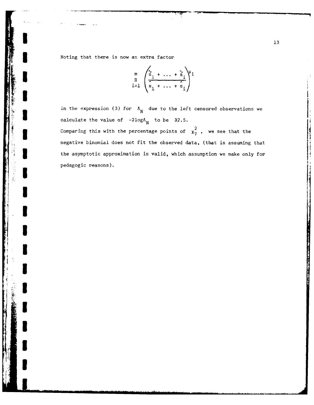**.3** Noting that there is now an extra factor

**I**

**'I**

**I**

**I**

**'I**

$$
\prod_{i=1}^{m} \left( \frac{\sum_{s_1}^{s_1} \cdots + \sum_{s_i}^{s_i}}{\sum_{s_1}^{s_1} \cdots + \sum_{s_i}^{s_i}} \right)^{\mu_i}
$$

in the expression (3) for  $\Lambda_N$  due to the left censored observations we calculate the value of  $-2\log\Lambda_N$  to be 32.5. Comparing this with the percentage points of  $x_7^2$ , we see that the negative binomial does not fit the observed data, (that is assuming that the asymptotic approximation is valid, which assumption we make only for pedagogic reasons).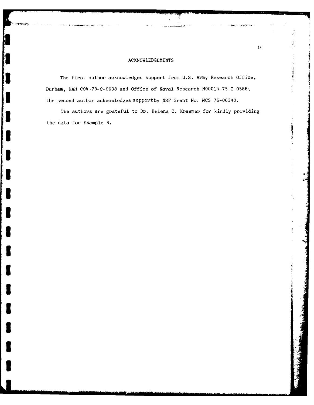## **ACKNOWLEDGEMENTS**

S

**I**

**I**

**I**

**I**

**I**

**I**

**I**

**I**

The first author acknowledges support from **U.S.** Army Research Office, Durham, **DAH C04-73-C-0008** and Office of Naval Research **N00014-75-C-0586;** the second author acknowledges support by **NSF** Grant No. **MCS 76-06340.**

The authors are grateful to Dr. Helena **C.** Kraemer for kindly providing the data for Example **3.**

 $\mathcal{P}_{\mathcal{G}}$  $\tilde{\tilde{X}}$ 

**Z MARCULTY** 

 $\frac{\pi}{4}$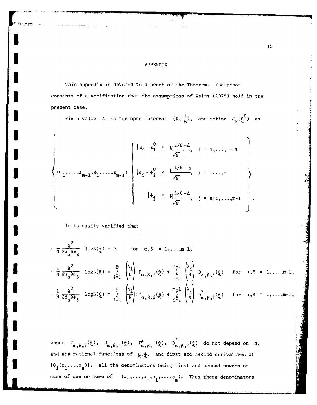## APPENDIX

This appendix is devoted to a proof of the Theorem. The proof consists of a verification that the assumptions of Weiss (1975) hold in the present case.

Fix a value  $\Delta$  in the open interval  $(0, \frac{1}{6})$ , and define  $J_N(\theta_0^0)$  as

$$
\left\{\n\begin{array}{ccc}\n|u_{i} - u_{i}| \leq \frac{N^{1/6 - \Delta}}{\sqrt{N}}, & i = 1, \ldots, m-1 \\
|u_{1}, \ldots, u_{m-1}, \phi_{1}, \ldots, \phi_{m-1}\n\end{array}\n\right\}\n\right\}\n\left\{\n\begin{array}{ccc}\n|u_{i} - u_{i}| \leq \frac{N^{1/6 - \Delta}}{\sqrt{N}}, & i = 1, \ldots, m-1 \\
|u_{i} - \phi_{i}| \leq \frac{N^{1/6 - \Delta}}{\sqrt{N}}, & i = 1, \ldots, n\n\end{array}\n\right\}
$$

It is easily verified that

I

$$
-\frac{1}{N} \frac{\partial^2}{\partial u_{\alpha} \partial \phi_{\beta}} logL(\theta) = 0 \quad \text{for } \alpha, \beta = 1,...,m-1;
$$
  

$$
-\frac{1}{N} \frac{\partial^2}{\partial u_{\alpha} \partial u_{\beta}} logL(\theta) = \sum_{i=1}^m \left(\frac{\delta_i}{N}\right) \Gamma_{\alpha,\beta,i}(\theta) + \sum_{i=1}^{m-1} \left(\frac{\lambda_i}{N}\right) D_{\alpha,\beta,i}(\theta) \quad \text{for } \alpha, \beta = 1,...,m-1;
$$
  

$$
-\frac{1}{N} \frac{\partial^2}{\partial \phi_{\alpha} \partial \phi_{\beta}} logL(\theta) = \sum_{i=1}^m \left(\frac{\delta_i}{N}\right) \Gamma_{\alpha,\beta,i}(\theta) + \sum_{i=1}^{m-1} \left(\frac{\lambda_i}{N}\right) D_{\alpha,\beta,i}(\theta) \quad \text{for } \alpha, \beta = 1,...,m-1;
$$

where  $\Gamma_{\alpha,\beta,i}(\ell), \quad D_{\alpha,\beta,i}(\ell), \quad \Gamma_{\alpha,\beta,i}^*(\ell), \quad D_{\alpha,\beta,i}^*(\ell)$  do not depend on N, and are rational functions of  $\mu, \phi$ , and first and second derivatives of  $\{Q_i(\phi_1, \ldots, \phi_a)\}\$ , all the denominators being first and second powers of sums of one or more of  $(u_1, \ldots, u_m, s_1, \ldots, s_m)$ . Thus these denominators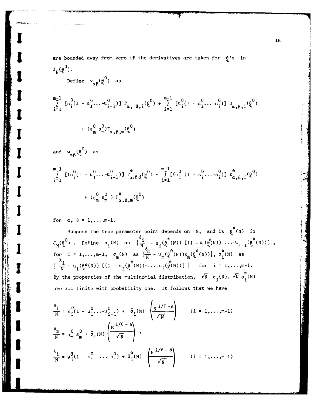are bounded away from zero if the derivatives are taken for 
$$
\ell
$$
's in  
\n $J_N(\ell^0)$ .  
\nDefine  $v_{\alpha\beta}(\ell^0)$  as  
\n
$$
\sum_{i=1}^{m-1} [s_i^0(1 - u_1^0 \cdots u_{i-1}^0)] \Gamma_{\alpha, \beta, i}(\ell^0) + \sum_{i=1}^{m-1} [u_i^0(1 - s_1^0 \cdots s_i^0)] \Gamma_{\alpha, \beta, i}(\ell^0)
$$
\n
$$
+ (u_m^0 s_m^0) \Gamma_{\alpha, \beta, m}(\ell^0)
$$
\nand  $w_{\alpha\beta}(\ell^0)$  as  
\n
$$
\sum_{i=1}^{m-1} [(s_i^0(1 - u_1^0 \cdots u_{i-1}^0)] \Gamma_{\alpha, \beta, i}^*(\ell^0) + \sum_{i=1}^{m-1} [(u_i^0(1 - s_i^0 \cdots s_i^0)] \Gamma_{\alpha, \beta, i}^*(\ell^0)
$$
\n
$$
+ (u_m^0 s_m^0) \Gamma_{\alpha, \beta, m}^*(\ell^0)
$$

for  $\alpha$ ,  $\beta = 1, \ldots, m-1$ .

Suppose the true parameter point depends on N, and is  $\oint_{0}^{n} (N)$  in  $\mathrm{J}_{\mathbf{N}}(\mathfrak{g}^0)$  . Define  $\sigma_1(\mathtt{N})$  as  $\bigl\lvert\frac{1}{\mathtt{N}}\bigr\rvert$  - s, $(\mathfrak{g}^*(\mathtt{N}))$  [(1 - 4)( $\mathfrak{g}^*(\mathtt{N}))$ -...- $\mathrm{u}_{i-1}(\mathfrak{g}^*(\mathtt{N}))$ ] $\bigl\lvert$ , for  $i = 1, \ldots, m-1$ ,  $\sigma(N)$  as  $\frac{m}{m} - u$   $(\theta^{n}(N))$ s  $(\theta^{n}(N))$ ,  $\sigma^{n}(N)$  as  $\frac{\lambda_{i}}{N} - u_{i}(\theta^{*}(N))$  [(1 - s<sub>1</sub>( $\theta^{*}(N)$ )-...-s<sub>1</sub>( $\theta^{*}(N)$ )] | for i = 1,...,m-1. By the properties of the multinomial distribution,  $\sqrt{N}$   $\sigma_i(N)$ ,  $\sqrt{N}$   $\sigma_i^*(N)$ are all finite with probability one. It follows that we have

$$
\frac{\delta_{i}}{N} = s_{i}^{0} (1 - u_{1}^{0} ... u_{i-1}^{0}) + \bar{\sigma}_{i} (N) \left(\frac{N^{1/6} - \Delta}{\sqrt{N}}\right) \qquad (i = 1, ..., m-1)
$$
  

$$
\frac{\delta_{m}}{N} = u_{m}^{0} s_{m}^{0} + \bar{\sigma}_{m} (N) \left(\frac{N^{1/6} - \Delta}{\sqrt{N}}\right),
$$
  

$$
\frac{\lambda_{i}}{N} = \mu_{i}^{0} (1 - s_{1}^{0} - ... - s_{i}^{0}) + \bar{\sigma}_{i}^{k} (N) \left(\frac{N^{1/6} - \Delta}{\sqrt{N}}\right) \qquad (i = 1, ..., m-1)
$$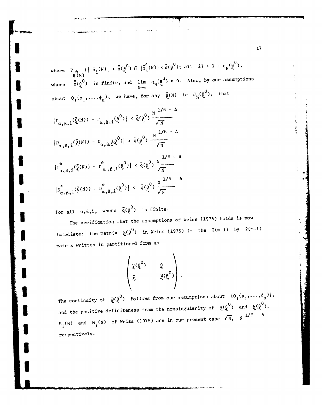<sup>a</sup>**> 1 -q (0)** where  $P_{i}: \{|\bar{\sigma}_{i}(N)| < \bar{\sigma}(\varrho^{(1)}) \cap |\bar{\sigma}_{i}(N)| < \sigma(\varrho^{(2)})\}$ , all  $1 \leq i \leq q_{N} \ell_{N}^{(N)}$ , **O0N)** where  $\overline{\sigma}(\rho^0)$  is finite, and lim  $q_N(\rho^0) = 0$ . Also, by our assumptions about  $Q_i(\phi_1,\ldots,\phi_a)$ , we have, for any  $\hat{\theta}(N)$  in  $J_N(\theta_0^{0})$ , that

$$
|\Gamma_{\alpha, \beta, i}(\bar{\theta}^{(N)}) - \Gamma_{\alpha, \beta, i}(\theta^{0})| < \bar{q}(\theta^{0}) \frac{N^{1/6 - \Delta}}{\sqrt{N}}
$$
  
\n
$$
|\bar{D}_{\alpha, \beta, i}(\bar{\theta}^{(N)}) - \bar{D}_{\alpha, \beta, i}(\theta^{0})| < \bar{q}(\theta^{0}) \frac{N^{1/6 - \Delta}}{\sqrt{N}}
$$
  
\n
$$
|\bar{L}_{\alpha, \beta, i}(\bar{\theta}^{(N)}) - \bar{L}_{\alpha, \beta, i}(\theta^{0})| < \bar{q}(\theta^{0}) \frac{N^{1/6 - \Delta}}{\sqrt{N}}
$$
  
\n
$$
|\bar{D}_{\alpha, \beta, i}(\bar{\theta}^{(N)}) - \bar{D}_{\alpha, \beta, i}(\theta^{0})| < \bar{q}(\theta^{0}) \frac{N^{1/6 - \Delta}}{\sqrt{N}}
$$

for all  $\alpha, \beta, i$ , where  $\bar{q}(\rho^0)$  is finite.

**I.**

**U**

**U**

The verification that the assumptions of Weiss (1975) holds is now immediate: the matrix  $g(\varrho^0)$  in Weiss (1975) is the  $2(m-1)$  by  $2(m-1)$ matrix written in partitioned form as

$$
\begin{pmatrix} \chi(\mathfrak{g}^0) & \mathfrak{g} \\ \mathfrak{g} & \mathfrak{g}(\mathfrak{g}^0) \end{pmatrix}.
$$

The continuity of  $\beta(\theta^0)$  follows from our assumptions about  $\{\varphi_i(\phi_1,\ldots,\phi_a)\},$ and the positive definiteness from the nonsingularity of  $\chi(\frak g^0)$  and  $\frak g(\frak g^0).$ K<sub>1</sub>(N) and M<sub>1</sub>(N) of Weiss (1975) are in our present case  $\sqrt{N}$ , N  $^{1/6}$  -  $\Delta$ respectively.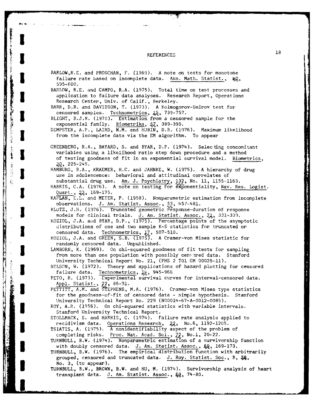# **3 REFERENCES 18**

ľ

**CONTRACTOR** 

そのことに ある (主義の)

**BEACHING** 

**MANAGERS** 

| BARLOW, R.E. and PROSCHAN, F. (1969). A note on tests for monotone                                                          |
|-----------------------------------------------------------------------------------------------------------------------------|
| failure rate based on incomplete data. Ann. Math. Statist., $\#Q$ ,                                                         |
| 595-600.                                                                                                                    |
| BARLOW, R.E. and CAMPO, R.A. (1975). Total time on test processes and                                                       |
| application to failure data analyses. Research Report, Operations                                                           |
|                                                                                                                             |
| Research Center, Univ. of Calif., Berkeley.                                                                                 |
| BARR, D.R. and DAVIDSON, T. (1973). A Kolmogorov-Smirov test for                                                            |
| censored samples. Technometrics, 12, 739-757.                                                                               |
| BLIGHT, B.J.N. (1970). Estimation from a censored sample for the                                                            |
| exponential family. Biometrika, 57, 389-395.                                                                                |
| DEMPSTER, A.P., LAIRD, N.M. and RUBIN, D.B. (1976). Maximum likelihood                                                      |
| from the incomplete data via the EM algorithm. To appear                                                                    |
|                                                                                                                             |
|                                                                                                                             |
| GREENBERG, R.A., BAYARD, S. and BYAR, D.P. (1974). Selecting concomitant                                                    |
| variables using a likelihood ratio step down procedure and a method                                                         |
| of testing goodness of fit in an exponential survival model. Biometrics,                                                    |
| $30, 225 - 245.$                                                                                                            |
| HAMBURG, B.A., KRAEMER, H.C. and JAHNKE, W. (1975). A hierarchy of drug                                                     |
| use in adolescence: behavioral and attitudinal correlates of                                                                |
|                                                                                                                             |
| substantial drug use. Am. J. Psychiatry, 132, No. 11, 1155-1163.                                                            |
| HARRIS, C.A. (1976). A note on testing for exponentiality, Nav. Res. Logist.                                                |
| Quart., 22, 169-175.                                                                                                        |
| KAPLAN, E.L. and MEIER, P. (1958). Nonparametric estimation from incomplete                                                 |
|                                                                                                                             |
| observations. J. Am. Statist. Assoc., 53, 457-481.<br>KLOTZ, J.H. (1976). Truncated geometric response-duration of response |
| models for clinical trials. J. Am. Statist. Assoc., 7,, 331-339.                                                            |
|                                                                                                                             |
| KOZIOL, J.A. and BYAR, D.P., (1975). Percentage points of the asymptotic                                                    |
| distributions of one and two sample K-S statistics for truncated or                                                         |
| censored data. Technometrics, 17, 507-510.                                                                                  |
| KOZIOL, J.A. and GREEN, S.B. (1975). A Cramer-von Mises statistic for                                                       |
| randomly censored data. Unpublished.                                                                                        |
| LAMBORN, K. (1969). On chi-squared goodness of fit tests for sampling                                                       |
| from more than one population with possibly censpred data.<br>Stanford                                                      |
|                                                                                                                             |
| University Technical Report No. 21, (PHS 2 TO1 GM 00025-11).                                                                |
| NELSON, W. (1972). Theory and applications of hazard plotting for censored                                                  |
| failure data. Technometrics, 从, 945-966                                                                                     |
| PETO, R. (1973). Experimental survival curves for interval-censored data.                                                   |
| Appl. Statist., 22, 86-91.                                                                                                  |
| PETTITT, A.M. and STEPHENS, M.A. (1976). Cramer-von Mises type statistics                                                   |
| for the goodness-of-fit of censored data - simple hypothesis. Stanford                                                      |
|                                                                                                                             |
| University Technical Report No. 229 (N00014-67-A-0012-0085).                                                                |
| ROY, A.R. (1956). On chi-squared statistics with variable intervals.                                                        |
| Stanford University Technical Report.                                                                                       |
| STOLLMACK, S. and HARRIS, C. (1974). Failure rate analysis applied to                                                       |
| recidivism data. Operations Research, 22, No.6, 1192-1205.                                                                  |
| TSIATIS, A. (1975). A nonidentifiability aspect of the problem of                                                           |
|                                                                                                                             |
| completing risks. Proc. Nat. Acad. Sci., 72, No.1, 20-22.                                                                   |
| TURNBULL, B.W. (1974). Nonparametric estimation of a survivorship function                                                  |
| with doubly censored data. J. Am. Statist. Assoc., QQ, 169-173.                                                             |
| TURNBULL, B.W. (1976). The empirical distribution function with arbitrarily                                                 |
| grouped, censored and truncated data. J. Roy. Statist. Soc., B, 228,                                                        |
| No. 3, (to appear).                                                                                                         |
| TURNBULL, B.W., BROWN, B.W. and HU, M. (1974). Survivorship analysis of heart                                               |
|                                                                                                                             |

transplant data. J. Am. Statist. Assoc., 68, 74-80.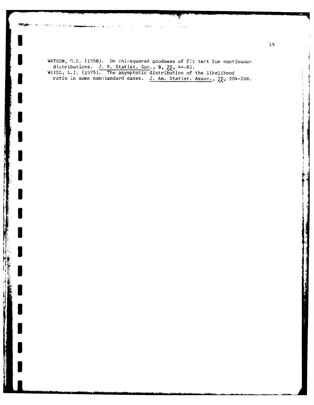WATSON, G.S. (1958). On chi-squared goodness of fit test for continuous distributions. J. R. Statist. Soc., B, 20, 44-61.<br>WEISS, L.I. (1975). The asymptotic distribution of the likelihood ratio in some nonstandard cases. J. Am. Statist. Assoc.,  $70$ , 204-208.

○ 大学の とうしょう

 $\mathbf{H}$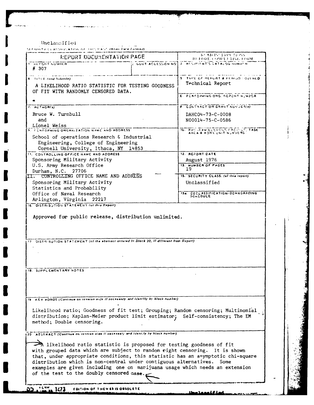Unclassified

AD CHAIR A CEANNAIR ATHON OF THIS HAST (When Data Entered)

| REPORT DOCUMENTATION PAGE                                                                                                                                                                                                                                                                                                                                                                                               |       | <b>KEAD IN TRUCTIONS</b><br><b>BEFORE COMPLETING FORM</b> |
|-------------------------------------------------------------------------------------------------------------------------------------------------------------------------------------------------------------------------------------------------------------------------------------------------------------------------------------------------------------------------------------------------------------------------|-------|-----------------------------------------------------------|
| <b>IT WE PONT NUMBER</b><br># 307                                                                                                                                                                                                                                                                                                                                                                                       |       | CONT ACCESSION NOT J. RECIPIENT'S CATALOG NUMBER          |
| <b>4.</b> Till Linna Subtitle).                                                                                                                                                                                                                                                                                                                                                                                         |       | 5. TYPE OF REPORT & PERIOD FOVERED.                       |
| A LIKELIHOOD RATIO STATISTIC FOR TESTING GOODNESS<br>OF FIT WITH RANDOMLY CENSORED DATA.                                                                                                                                                                                                                                                                                                                                |       | Technical Report                                          |
|                                                                                                                                                                                                                                                                                                                                                                                                                         |       | <b>E. PERFORMING ORG. REPORT NUMBER</b>                   |
| 7. AUTHOR(s)                                                                                                                                                                                                                                                                                                                                                                                                            |       | <b>E. CONTRACT OR GRANT NUMBER(B)</b>                     |
| Bruce W. Turnbull<br>and                                                                                                                                                                                                                                                                                                                                                                                                |       | DAHCO4-73-C-0008<br>N00014-75-C-0586                      |
| Lionel Weiss<br>9. FEHFORMING ORGANIZATION NAME AND ADDRESS                                                                                                                                                                                                                                                                                                                                                             |       | 10. PHO IFAM ELEMENT, FRONCE, TASK                        |
| School of operations Research & Industrial<br>Engineering, College of Engineering<br>Cornell University, Ithaca, NY                                                                                                                                                                                                                                                                                                     | 14853 |                                                           |
| 11. CONTROLLING OFFICE NAME AND ADDRESS                                                                                                                                                                                                                                                                                                                                                                                 |       | 12. REPORT CATE                                           |
| Sponsoring Military Activity                                                                                                                                                                                                                                                                                                                                                                                            |       | August 1976                                               |
| U.S. Army Research Office                                                                                                                                                                                                                                                                                                                                                                                               |       | <b>13. NUMBER OF PAGES</b><br>19                          |
| Durham, N.C. 27706<br>III. CONTROLLING OFFICE NAME AND ADDRESS                                                                                                                                                                                                                                                                                                                                                          |       | 15. SECURITY CLASS. (of this report)                      |
| Sponsoring Military Activity                                                                                                                                                                                                                                                                                                                                                                                            |       | Unclassified                                              |
| Statistics and Probability<br>Office of Naval Research                                                                                                                                                                                                                                                                                                                                                                  |       |                                                           |
| Arlington, Virginia 22217                                                                                                                                                                                                                                                                                                                                                                                               |       | 154. DECLASSIFICATION/DOWNGRADING                         |
| 16. DISTRIBUTION STATEMENT (of this Report)                                                                                                                                                                                                                                                                                                                                                                             |       |                                                           |
| 17 DISTREBUTION STATEMENT (of the abstract entered in Block 20, if different from Report)                                                                                                                                                                                                                                                                                                                               |       |                                                           |
| <b>18. SUPPLEMENTARY NOTES</b>                                                                                                                                                                                                                                                                                                                                                                                          |       |                                                           |
|                                                                                                                                                                                                                                                                                                                                                                                                                         |       |                                                           |
| KEY WORDS (Continue on reverse eide II necessary and Identity by block number)                                                                                                                                                                                                                                                                                                                                          |       |                                                           |
| Likelihood ratio; Goodness of fit test; Grouping; Random censoring; Multinomial<br>distribution; Kaplan-Meier product limit estimator; Self-consistency; The EM<br>method; Double censoring.                                                                                                                                                                                                                            |       |                                                           |
| 120 . ABSTRACT (Continue on reverse eige If necessary and Identily by block number)                                                                                                                                                                                                                                                                                                                                     |       |                                                           |
| likelihood ratio statistic is proposed for testing goodness of fit<br>with grouped data which are subject to random right censoring.<br>that, under appropriate conditions, this statistic has an asymptotic chi-square<br>distribution which is non-central under contiguous alternatives.<br>examples are given including one on marijuana usage which needs an extension<br>of the test to the doubly censored case. |       | It is shown<br>Some                                       |
| EDITION OF THEY 65 IS OBSOLETE<br>1473                                                                                                                                                                                                                                                                                                                                                                                  |       |                                                           |

ملكله đ

 $\sim 10^{-1}$ 

 $\label{eq:1} \begin{aligned} \mathcal{L}(\mathbf{z}) = \mathbf{e}_{\mathbf{z}}^T \mathbf{e}_{\mathbf{z}}^T \mathbf{e}_{\mathbf{z}}^T \mathbf{e}_{\mathbf{z}}^T \mathbf{e}_{\mathbf{z}}^T \mathbf{e}_{\mathbf{z}}^T \mathbf{e}_{\mathbf{z}}^T \mathbf{e}_{\mathbf{z}}^T \mathbf{e}_{\mathbf{z}}^T \mathbf{e}_{\mathbf{z}}^T \mathbf{e}_{\mathbf{z}}^T \mathbf{e}_{\mathbf{z}}^T \mathbf{e}_{\mathbf{z}}^T \mathbf{e}_{\mathbf{z}}^$ 

 $\ddot{\phantom{1}}$